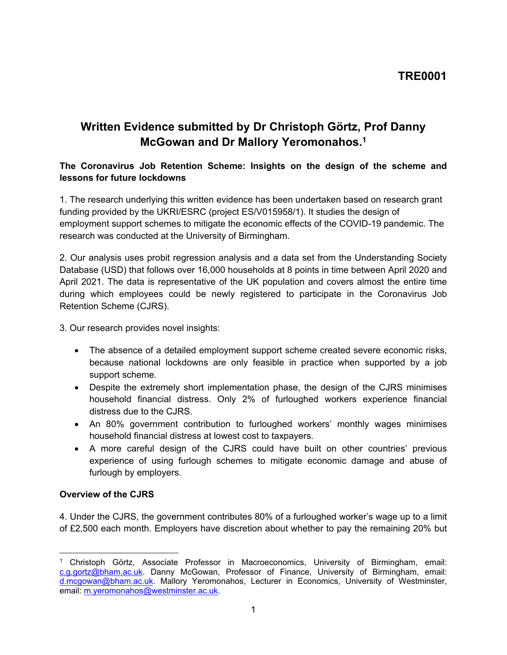# **Written Evidence submitted by Dr Christoph Görtz, Prof Danny McGowan and Dr Mallory Yeromonahos.<sup>1</sup>**

### **The Coronavirus Job Retention Scheme: Insights on the design of the scheme and lessons for future lockdowns**

1. The research underlying this written evidence has been undertaken based on research grant funding provided by the UKRI/ESRC (project ES/V015958/1). It studies the design of employment support schemes to mitigate the economic effects of the COVID-19 pandemic. The research was conducted at the University of Birmingham.

2. Our analysis uses probit regression analysis and a data set from the Understanding Society Database (USD) that follows over 16,000 households at 8 points in time between April 2020 and April 2021. The data is representative of the UK population and covers almost the entire time during which employees could be newly registered to participate in the Coronavirus Job Retention Scheme (CJRS).

3. Our research provides novel insights:

- The absence of a detailed employment support scheme created severe economic risks, because national lockdowns are only feasible in practice when supported by a job support scheme.
- Despite the extremely short implementation phase, the design of the CJRS minimises household financial distress. Only 2% of furloughed workers experience financial distress due to the CJRS.
- An 80% government contribution to furloughed workers' monthly wages minimises household financial distress at lowest cost to taxpayers.
- A more careful design of the CJRS could have built on other countries' previous experience of using furlough schemes to mitigate economic damage and abuse of furlough by employers.

#### **Overview of the CJRS**

4. Under the CJRS, the government contributes 80% of a furloughed worker's wage up to a limit of £2,500 each month. Employers have discretion about whether to pay the remaining 20% but

<sup>1</sup> Christoph Görtz, Associate Professor in Macroeconomics, University of Birmingham, email: [c.g.gortz@bham.ac.uk](mailto:c.g.gortz@bham.ac.uk). Danny McGowan, Professor of Finance, University of Birmingham, email: [d.mcgowan@bham.ac.uk.](mailto:d.mcgowan@bham.ac.uk) Mallory Yeromonahos, Lecturer in Economics, University of Westminster, email: [m.yeromonahos@westminster.ac.uk](mailto:m.yeromonahos@westminster.ac.uk).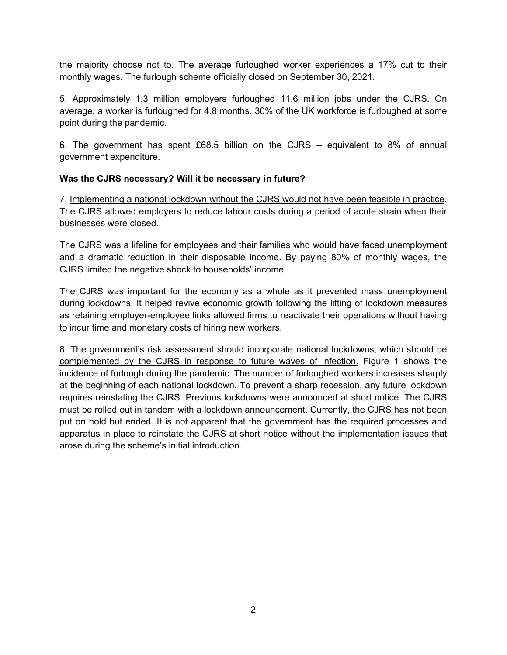the majority choose not to. The average furloughed worker experiences a 17% cut to their monthly wages. The furlough scheme officially closed on September 30, 2021.

5. Approximately 1.3 million employers furloughed 11.6 million jobs under the CJRS. On average, a worker is furloughed for 4.8 months. 30% of the UK workforce is furloughed at some point during the pandemic.

6. The government has spent £68.5 billion on the CJRS – equivalent to 8% of annual government expenditure.

### **Was the CJRS necessary? Will it be necessary in future?**

7. Implementing a national lockdown without the CJRS would not have been feasible in practice. The CJRS allowed employers to reduce labour costs during a period of acute strain when their businesses were closed.

The CJRS was a lifeline for employees and their families who would have faced unemployment and a dramatic reduction in their disposable income. By paying 80% of monthly wages, the CJRS limited the negative shock to households' income.

The CJRS was important for the economy as a whole as it prevented mass unemployment during lockdowns. It helped revive economic growth following the lifting of lockdown measures as retaining employer-employee links allowed firms to reactivate their operations without having to incur time and monetary costs of hiring new workers.

8. The government's risk assessment should incorporate national lockdowns, which should be complemented by the CJRS in response to future waves of infection. Figure 1 shows the incidence of furlough during the pandemic. The number of furloughed workers increases sharply at the beginning of each national lockdown. To prevent a sharp recession, any future lockdown requires reinstating the CJRS. Previous lockdowns were announced at short notice. The CJRS must be rolled out in tandem with a lockdown announcement. Currently, the CJRS has not been put on hold but ended. It is not apparent that the government has the required processes and apparatus in place to reinstate the CJRS at short notice without the implementation issues that arose during the scheme's initial introduction.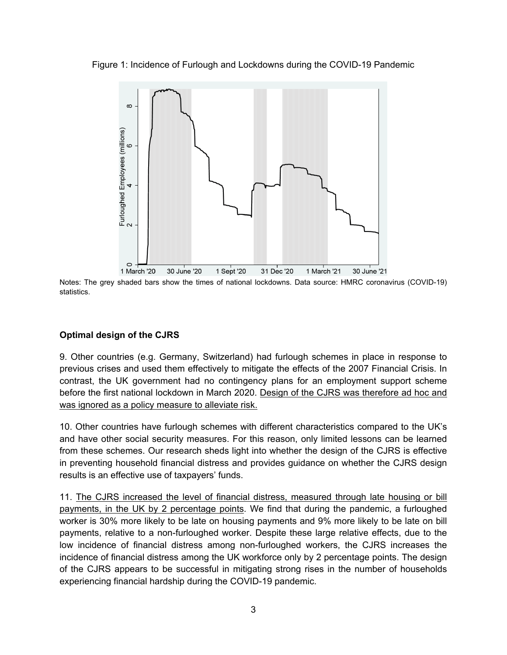Figure 1: Incidence of Furlough and Lockdowns during the COVID-19 Pandemic



31 Dec '20 1 March '20 30 June '20 1 Sept '20 1 March '21 30 June '21 Notes: The grey shaded bars show the times of national lockdowns. Data source: HMRC coronavirus (COVID-19) statistics.

## **Optimal design of the CJRS**

9. Other countries (e.g. Germany, Switzerland) had furlough schemes in place in response to previous crises and used them effectively to mitigate the effects of the 2007 Financial Crisis. In contrast, the UK government had no contingency plans for an employment support scheme before the first national lockdown in March 2020. Design of the CJRS was therefore ad hoc and was ignored as a policy measure to alleviate risk.

10. Other countries have furlough schemes with different characteristics compared to the UK's and have other social security measures. For this reason, only limited lessons can be learned from these schemes. Our research sheds light into whether the design of the CJRS is effective in preventing household financial distress and provides guidance on whether the CJRS design results is an effective use of taxpayers' funds.

11. The CJRS increased the level of financial distress, measured through late housing or bill payments, in the UK by 2 percentage points. We find that during the pandemic, a furloughed worker is 30% more likely to be late on housing payments and 9% more likely to be late on bill payments, relative to a non-furloughed worker. Despite these large relative effects, due to the low incidence of financial distress among non-furloughed workers, the CJRS increases the incidence of financial distress among the UK workforce only by 2 percentage points. The design of the CJRS appears to be successful in mitigating strong rises in the number of households experiencing financial hardship during the COVID-19 pandemic.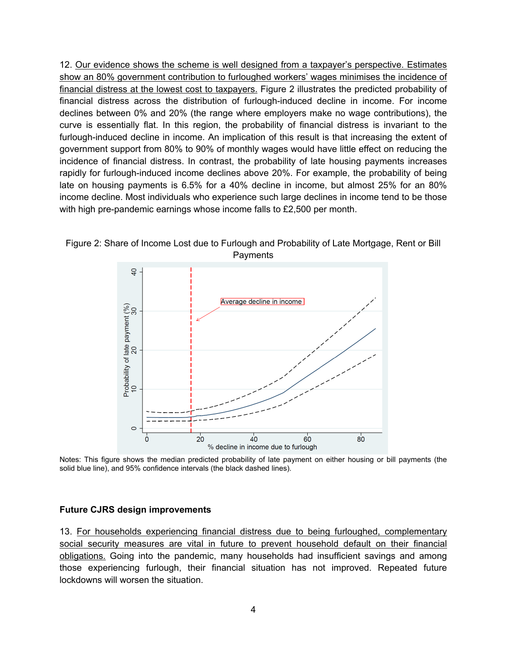12. Our evidence shows the scheme is well designed from a taxpayer's perspective. Estimates show an 80% government contribution to furloughed workers' wages minimises the incidence of financial distress at the lowest cost to taxpayers. Figure 2 illustrates the predicted probability of financial distress across the distribution of furlough-induced decline in income. For income declines between 0% and 20% (the range where employers make no wage contributions), the curve is essentially flat. In this region, the probability of financial distress is invariant to the furlough-induced decline in income. An implication of this result is that increasing the extent of government support from 80% to 90% of monthly wages would have little effect on reducing the incidence of financial distress. In contrast, the probability of late housing payments increases rapidly for furlough-induced income declines above 20%. For example, the probability of being late on housing payments is 6.5% for a 40% decline in income, but almost 25% for an 80% income decline. Most individuals who experience such large declines in income tend to be those with high pre-pandemic earnings whose income falls to £2,500 per month.



Figure 2: Share of Income Lost due to Furlough and Probability of Late Mortgage, Rent or Bill Payments

Notes: This figure shows the median predicted probability of late payment on either housing or bill payments (the solid blue line), and 95% confidence intervals (the black dashed lines).

#### **Future CJRS design improvements**

13. For households experiencing financial distress due to being furloughed, complementary social security measures are vital in future to prevent household default on their financial obligations. Going into the pandemic, many households had insufficient savings and among those experiencing furlough, their financial situation has not improved. Repeated future lockdowns will worsen the situation.